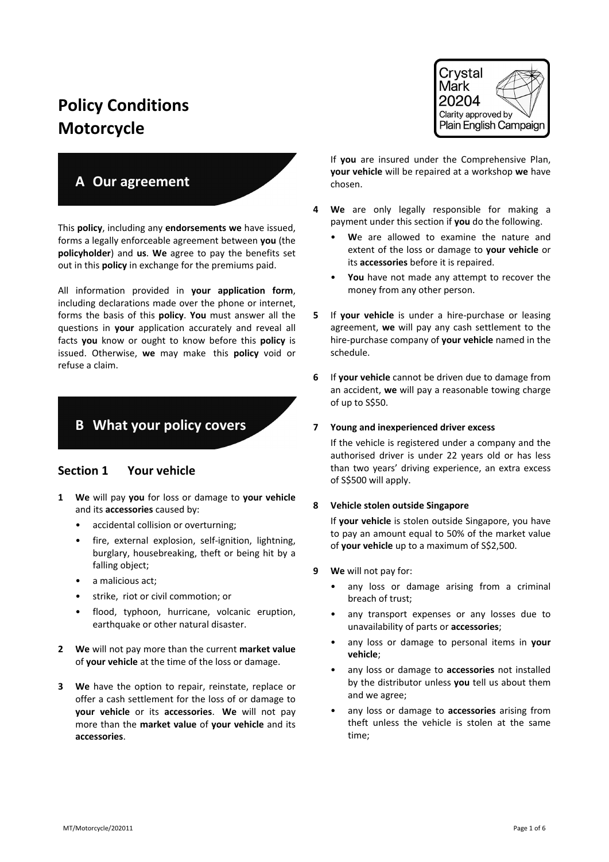# **Policy Conditions Motorcycle**

## **A Our agreement**

This **policy**, including any **endorsements we** have issued, forms a legally enforceable agreement between **you** (the **policyholder**) and **us**. **We** agree to pay the benefits set out in this **policy** in exchange for the premiums paid.

All information provided in **your application form**, including declarations made over the phone or internet, forms the basis of this **policy**. **You** must answer all the questions in **your** application accurately and reveal all facts **you** know or ought to know before this **policy** is issued. Otherwise, **we** may make this **policy** void or refuse a claim.

## **B What your policy covers**

## **Section 1 Your vehicle**

- **1 We** will pay **you** for loss or damage to **your vehicle** and its **accessories** caused by:
	- accidental collision or overturning;
	- fire, external explosion, self-ignition, lightning, burglary, housebreaking, theft or being hit by a falling object;
	- a malicious act:
	- strike, riot or civil commotion; or
	- flood, typhoon, hurricane, volcanic eruption, earthquake or other natural disaster.
- **2 We** will not pay more than the current **market value** of **your vehicle** at the time of the loss or damage.
- **3 We** have the option to repair, reinstate, replace or offer a cash settlement for the loss of or damage to **your vehicle** or its **accessories**. **We** will not pay more than the **market value** of **your vehicle** and its **accessories**.



If **you** are insured under the Comprehensive Plan, **your vehicle** will be repaired at a workshop **we** have chosen.

- **4 We** are only legally responsible for making a payment under this section if **you** do the following.
	- We are allowed to examine the nature and extent of the loss or damage to **your vehicle** or its **accessories** before it is repaired.
	- **You** have not made any attempt to recover the money from any other person.
- **5** If **your vehicle** is under a hire-purchase or leasing agreement, **we** will pay any cash settlement to the hire-purchase company of **your vehicle** named in the schedule.
- **6** If **your vehicle** cannot be driven due to damage from an accident, **we** will pay a reasonable towing charge of up to S\$50.

#### **7 Young and inexperienced driver excess**

If the vehicle is registered under a company and the authorised driver is under 22 years old or has less than two years' driving experience, an extra excess of S\$500 will apply.

#### **8 Vehicle stolen outside Singapore**

If **your vehicle** is stolen outside Singapore, you have to pay an amount equal to 50% of the market value of **your vehicle** up to a maximum of S\$2,500.

- **9 We** will not pay for:
	- any loss or damage arising from a criminal breach of trust;
	- any transport expenses or any losses due to unavailability of parts or **accessories**;
	- any loss or damage to personal items in **your vehicle**;
	- any loss or damage to **accessories** not installed by the distributor unless **you** tell us about them and we agree;
	- any loss or damage to **accessories** arising from theft unless the vehicle is stolen at the same time;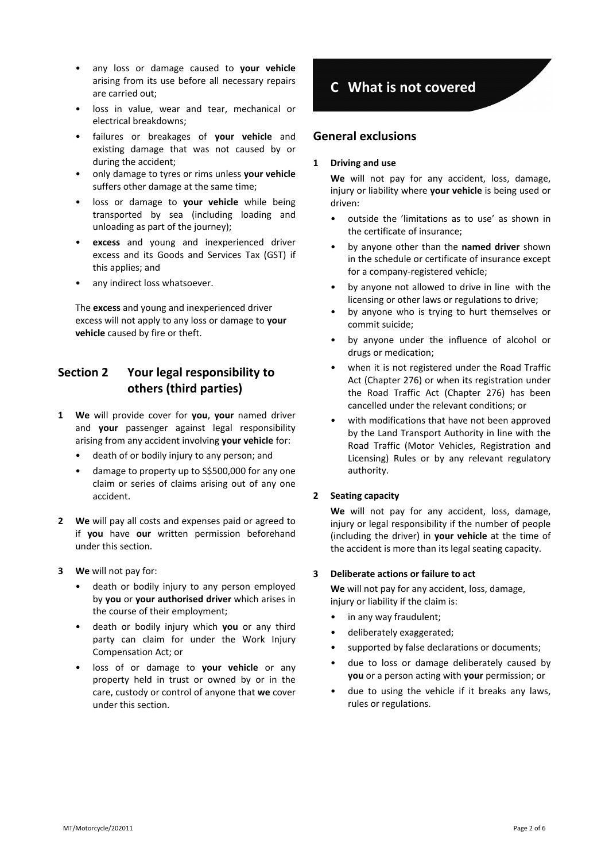- any loss or damage caused to **your vehicle** arising from its use before all necessary repairs are carried out;
- loss in value, wear and tear, mechanical or electrical breakdowns;
- failures or breakages of **your vehicle** and existing damage that was not caused by or during the accident;
- only damage to tyres or rims unless **your vehicle** suffers other damage at the same time;
- loss or damage to **your vehicle** while being transported by sea (including loading and unloading as part of the journey);
- **excess** and young and inexperienced driver excess and its Goods and Services Tax (GST) if this applies; and
- any indirect loss whatsoever.

The **excess** and young and inexperienced driver excess will not apply to any loss or damage to **your vehicle** caused by fire or theft.

## **Section 2 Your legal responsibility to others (third parties)**

- **1 We** will provide cover for **you**, **your** named driver and **your** passenger against legal responsibility arising from any accident involving **your vehicle** for:
	- death of or bodily injury to any person; and
	- damage to property up to S\$500,000 for any one claim or series of claims arising out of any one accident.
- **2 We** will pay all costs and expenses paid or agreed to if **you** have **our** written permission beforehand under this section.
- **3 We** will not pay for:
	- death or bodily injury to any person employed by **you** or **your authorised driver** which arises in the course of their employment;
	- death or bodily injury which **you** or any third party can claim for under the Work Injury Compensation Act; or
	- loss of or damage to **your vehicle** or any property held in trust or owned by or in the care, custody or control of anyone that **we** cover under this section.

## **C What is not covered**

### **General exclusions**

#### **1 Driving and use**

**We** will not pay for any accident, loss, damage, injury or liability where **your vehicle** is being used or driven:

- outside the 'limitations as to use' as shown in the certificate of insurance;
- by anyone other than the **named driver** shown in the schedule or certificate of insurance except for a company-registered vehicle;
- by anyone not allowed to drive in line with the licensing or other laws or regulations to drive;
- by anyone who is trying to hurt themselves or commit suicide;
- by anyone under the influence of alcohol or drugs or medication;
- when it is not registered under the Road Traffic Act (Chapter 276) or when its registration under the Road Traffic Act (Chapter 276) has been cancelled under the relevant conditions; or
- with modifications that have not been approved by the Land Transport Authority in line with the Road Traffic (Motor Vehicles, Registration and Licensing) Rules or by any relevant regulatory authority.

### **2 Seating capacity**

**We** will not pay for any accident, loss, damage, injury or legal responsibility if the number of people (including the driver) in **your vehicle** at the time of the accident is more than its legal seating capacity.

### **3 Deliberate actions or failure to act**

**We** will not pay for any accident, loss, damage, injury or liability if the claim is:

- in any way fraudulent;
- deliberately exaggerated;
- supported by false declarations or documents;
- due to loss or damage deliberately caused by **you** or a person acting with **your** permission; or
- due to using the vehicle if it breaks any laws, rules or regulations.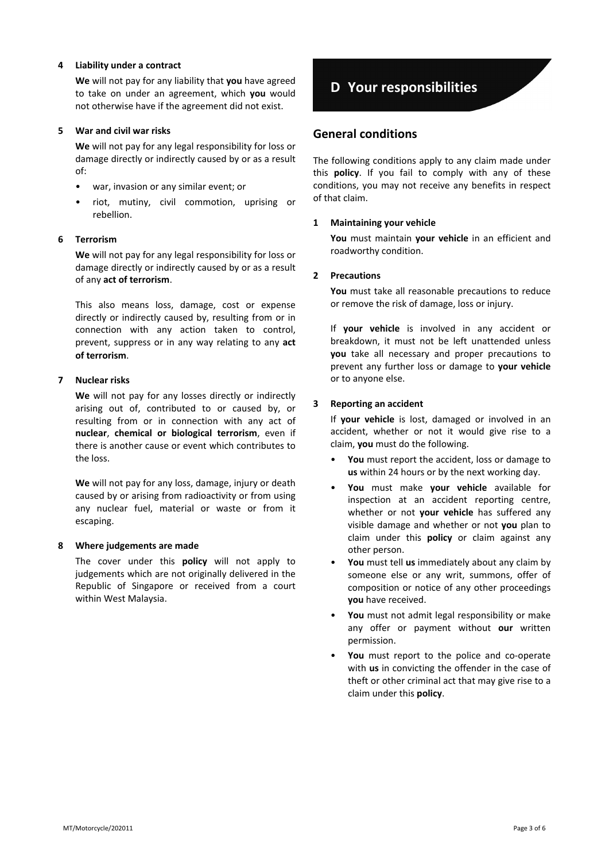#### **4 Liability under a contract**

**We** will not pay for any liability that **you** have agreed to take on under an agreement, which **you** would not otherwise have if the agreement did not exist.

#### **5 War and civil war risks**

**We** will not pay for any legal responsibility for loss or damage directly or indirectly caused by or as a result of:

- war, invasion or any similar event; or
- riot, mutiny, civil commotion, uprising or rebellion.

#### **6 Terrorism**

**We** will not pay for any legal responsibility for loss or damage directly or indirectly caused by or as a result of any **act of terrorism**.

This also means loss, damage, cost or expense directly or indirectly caused by, resulting from or in connection with any action taken to control, prevent, suppress or in any way relating to any **act of terrorism**.

#### **7 Nuclear risks**

**We** will not pay for any losses directly or indirectly arising out of, contributed to or caused by, or resulting from or in connection with any act of **nuclear**, **chemical or biological terrorism**, even if there is another cause or event which contributes to the loss.

**We** will not pay for any loss, damage, injury or death caused by or arising from radioactivity or from using any nuclear fuel, material or waste or from it escaping.

#### **8 Where judgements are made**

The cover under this **policy** will not apply to judgements which are not originally delivered in the Republic of Singapore or received from a court within West Malaysia.

## **D Your responsibilities**

### **General conditions**

The following conditions apply to any claim made under this **policy**. If you fail to comply with any of these conditions, you may not receive any benefits in respect of that claim.

#### **1 Maintaining your vehicle**

**You** must maintain **your vehicle** in an efficient and roadworthy condition.

#### **2 Precautions**

**You** must take all reasonable precautions to reduce or remove the risk of damage, loss or injury.

If **your vehicle** is involved in any accident or breakdown, it must not be left unattended unless **you** take all necessary and proper precautions to prevent any further loss or damage to **your vehicle** or to anyone else.

#### **3 Reporting an accident**

If **your vehicle** is lost, damaged or involved in an accident, whether or not it would give rise to a claim, **you** must do the following.

- **You** must report the accident, loss or damage to **us** within 24 hours or by the next working day.
- **You** must make **your vehicle** available for inspection at an accident reporting centre, whether or not **your vehicle** has suffered any visible damage and whether or not **you** plan to claim under this **policy** or claim against any other person.
- **You** must tell **us** immediately about any claim by someone else or any writ, summons, offer of composition or notice of any other proceedings **you** have received.
- **You** must not admit legal responsibility or make any offer or payment without **our** written permission.
- You must report to the police and co-operate with **us** in convicting the offender in the case of theft or other criminal act that may give rise to a claim under this **policy**.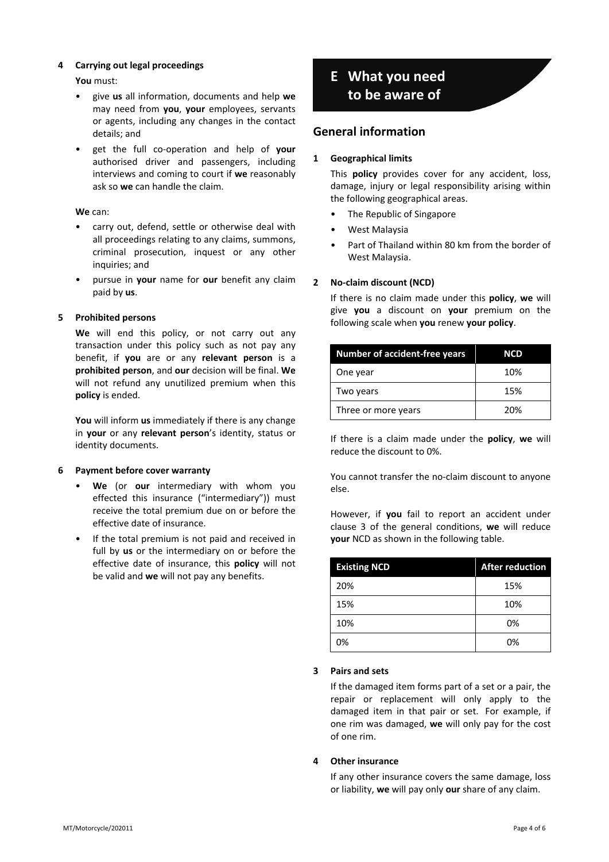### **4 Carrying out legal proceedings**

**You** must:

- give **us** all information, documents and help **we** may need from **you**, **your** employees, servants or agents, including any changes in the contact details; and
- get the full co-operation and help of **your** authorised driver and passengers, including interviews and coming to court if **we** reasonably ask so **we** can handle the claim.

#### **We** can:

- carry out, defend, settle or otherwise deal with all proceedings relating to any claims, summons, criminal prosecution, inquest or any other inquiries; and
- pursue in **your** name for **our** benefit any claim paid by **us**.

#### **5 Prohibited persons**

**We** will end this policy, or not carry out any transaction under this policy such as not pay any benefit, if **you** are or any **relevant person** is a **prohibited person**, and **our** decision will be final. **We** will not refund any unutilized premium when this **policy** is ended.

**You** will inform **us** immediately if there is any change in **your** or any **relevant person**'s identity, status or identity documents.

#### **6 Payment before cover warranty**

- **We** (or **our** intermediary with whom you effected this insurance ("intermediary")) must receive the total premium due on or before the effective date of insurance.
- If the total premium is not paid and received in full by **us** or the intermediary on or before the effective date of insurance, this **policy** will not be valid and **we** will not pay any benefits.

## **E What you need to be aware of**

## **General information**

#### **1 Geographical limits**

This **policy** provides cover for any accident, loss, damage, injury or legal responsibility arising within the following geographical areas.

- The Republic of Singapore
- West Malaysia
- Part of Thailand within 80 km from the border of West Malaysia.

#### **2 No-claim discount (NCD)**

If there is no claim made under this **policy**, **we** will give **you** a discount on **your** premium on the following scale when **you** renew **your policy**.

| <b>Number of accident-free years</b> | <b>NCD</b> |
|--------------------------------------|------------|
| One year                             | 10%        |
| Two years                            | 15%        |
| Three or more years                  | 20%        |

If there is a claim made under the **policy**, **we** will reduce the discount to 0%.

You cannot transfer the no-claim discount to anyone else.

However, if **you** fail to report an accident under clause 3 of the general conditions, **we** will reduce **your** NCD as shown in the following table.

| <b>Existing NCD</b> | <b>After reduction</b> |
|---------------------|------------------------|
| 20%                 | 15%                    |
| 15%                 | 10%                    |
| 10%                 | 0%                     |
| 0%                  | 0%                     |

#### **3 Pairs and sets**

If the damaged item forms part of a set or a pair, the repair or replacement will only apply to the damaged item in that pair or set. For example, if one rim was damaged, **we** will only pay for the cost of one rim.

#### **4 Other insurance**

If any other insurance covers the same damage, loss or liability, **we** will pay only **our** share of any claim.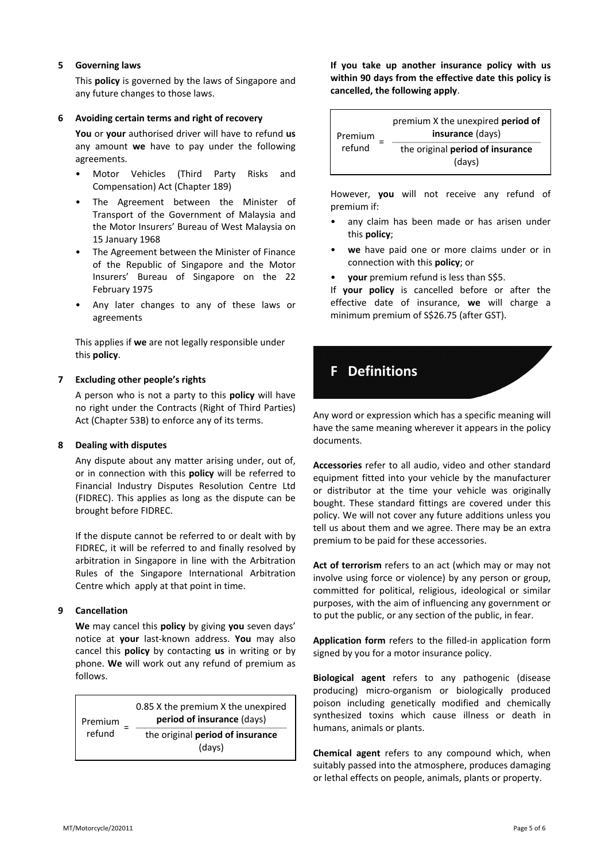#### **5 Governing laws**

This **policy** is governed by the laws of Singapore and any future changes to those laws.

#### **6 Avoiding certain terms and right of recovery**

**You** or **your** authorised driver will have to refund **us** any amount **we** have to pay under the following agreements.

- Motor Vehicles (Third Party Risks and Compensation) Act (Chapter 189)
- The Agreement between the Minister of Transport of the Government of Malaysia and the Motor Insurers' Bureau of West Malaysia on 15 January 1968
- The Agreement between the Minister of Finance of the Republic of Singapore and the Motor Insurers' Bureau of Singapore on the 22 February 1975
- Any later changes to any of these laws or agreements

This applies if **we** are not legally responsible under this **policy**.

#### **7 Excluding other people's rights**

A person who is not a party to this **policy** will have no right under the Contracts (Right of Third Parties) Act (Chapter 53B) to enforce any of its terms.

#### **8 Dealing with disputes**

Any dispute about any matter arising under, out of, or in connection with this **policy** will be referred to Financial Industry Disputes Resolution Centre Ltd (FIDREC). This applies as long as the dispute can be brought before FIDREC.

If the dispute cannot be referred to or dealt with by FIDREC, it will be referred to and finally resolved by arbitration in Singapore in line with the Arbitration Rules of the Singapore International Arbitration Centre which apply at that point in time.

#### **9 Cancellation**

**We** may cancel this **policy** by giving **you** seven days' notice at **your** last-known address. **You** may also cancel this **policy** by contacting **us** in writing or by phone. **We** will work out any refund of premium as follows.

| Premium<br>refund | 0.85 X the premium X the unexpired<br><b>period of insurance (days)</b> |
|-------------------|-------------------------------------------------------------------------|
|                   | the original period of insurance<br>(days)                              |

**If you take up another insurance policy with us within 90 days from the effective date this policy is cancelled, the following apply**.

| Premium<br>refund | premium X the unexpired <b>period of</b><br>insurance (days) |
|-------------------|--------------------------------------------------------------|
|                   | the original period of insurance<br>(days)                   |

However, **you** will not receive any refund of premium if:

- any claim has been made or has arisen under this **policy**;
- **we** have paid one or more claims under or in connection with this **policy**; or
- **your** premium refund is less than S\$5.

If **your policy** is cancelled before or after the effective date of insurance, **we** will charge a minimum premium of S\$26.75 (after GST).

## **F Definitions**

Any word or expression which has a specific meaning will have the same meaning wherever it appears in the policy documents.

**Accessories** refer to all audio, video and other standard equipment fitted into your vehicle by the manufacturer or distributor at the time your vehicle was originally bought. These standard fittings are covered under this policy. We will not cover any future additions unless you tell us about them and we agree. There may be an extra premium to be paid for these accessories.

**Act of terrorism** refers to an act (which may or may not involve using force or violence) by any person or group, committed for political, religious, ideological or similar purposes, with the aim of influencing any government or to put the public, or any section of the public, in fear.

**Application form** refers to the filled-in application form signed by you for a motor insurance policy.

**Biological agent** refers to any pathogenic (disease producing) micro-organism or biologically produced poison including genetically modified and chemically synthesized toxins which cause illness or death in humans, animals or plants.

**Chemical agent** refers to any compound which, when suitably passed into the atmosphere, produces damaging or lethal effects on people, animals, plants or property.